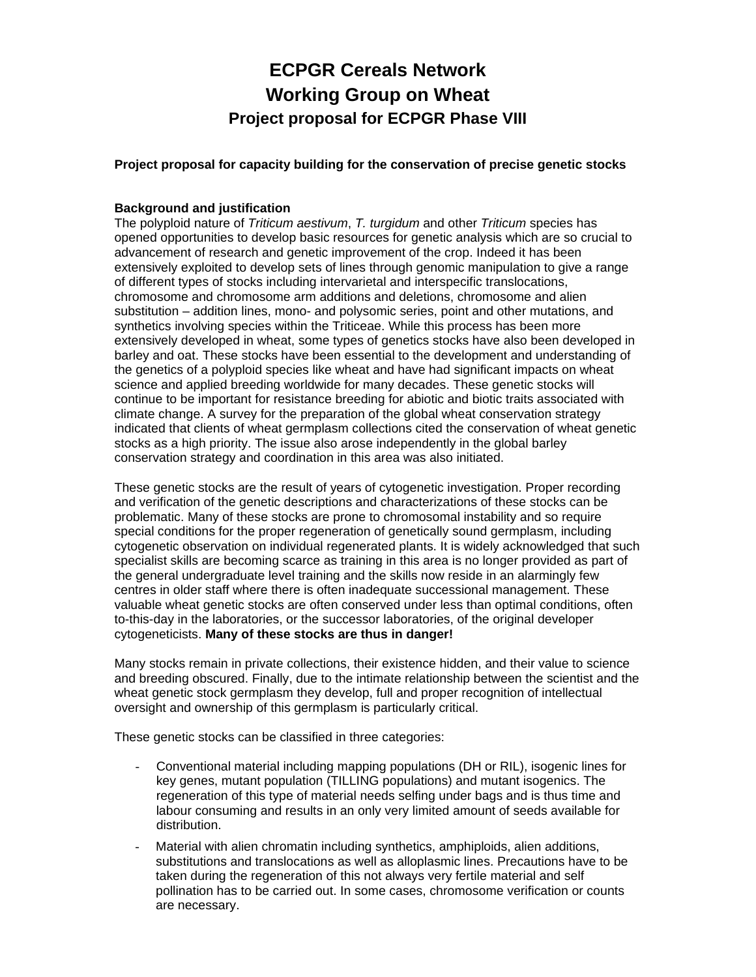# **ECPGR Cereals Network Working Group on Wheat Project proposal for ECPGR Phase VIII**

**Project proposal for capacity building for the conservation of precise genetic stocks** 

## **Background and justification**

The polyploid nature of *Triticum aestivum*, *T. turgidum* and other *Triticum* species has opened opportunities to develop basic resources for genetic analysis which are so crucial to advancement of research and genetic improvement of the crop. Indeed it has been extensively exploited to develop sets of lines through genomic manipulation to give a range of different types of stocks including intervarietal and interspecific translocations, chromosome and chromosome arm additions and deletions, chromosome and alien substitution – addition lines, mono- and polysomic series, point and other mutations, and synthetics involving species within the Triticeae. While this process has been more extensively developed in wheat, some types of genetics stocks have also been developed in barley and oat. These stocks have been essential to the development and understanding of the genetics of a polyploid species like wheat and have had significant impacts on wheat science and applied breeding worldwide for many decades. These genetic stocks will continue to be important for resistance breeding for abiotic and biotic traits associated with climate change. A survey for the preparation of the global wheat conservation strategy indicated that clients of wheat germplasm collections cited the conservation of wheat genetic stocks as a high priority. The issue also arose independently in the global barley conservation strategy and coordination in this area was also initiated.

These genetic stocks are the result of years of cytogenetic investigation. Proper recording and verification of the genetic descriptions and characterizations of these stocks can be problematic. Many of these stocks are prone to chromosomal instability and so require special conditions for the proper regeneration of genetically sound germplasm, including cytogenetic observation on individual regenerated plants. It is widely acknowledged that such specialist skills are becoming scarce as training in this area is no longer provided as part of the general undergraduate level training and the skills now reside in an alarmingly few centres in older staff where there is often inadequate successional management. These valuable wheat genetic stocks are often conserved under less than optimal conditions, often to-this-day in the laboratories, or the successor laboratories, of the original developer cytogeneticists. **Many of these stocks are thus in danger!** 

Many stocks remain in private collections, their existence hidden, and their value to science and breeding obscured. Finally, due to the intimate relationship between the scientist and the wheat genetic stock germplasm they develop, full and proper recognition of intellectual oversight and ownership of this germplasm is particularly critical.

These genetic stocks can be classified in three categories:

- Conventional material including mapping populations (DH or RIL), isogenic lines for key genes, mutant population (TILLING populations) and mutant isogenics. The regeneration of this type of material needs selfing under bags and is thus time and labour consuming and results in an only very limited amount of seeds available for distribution.
- Material with alien chromatin including synthetics, amphiploids, alien additions, substitutions and translocations as well as alloplasmic lines. Precautions have to be taken during the regeneration of this not always very fertile material and self pollination has to be carried out. In some cases, chromosome verification or counts are necessary.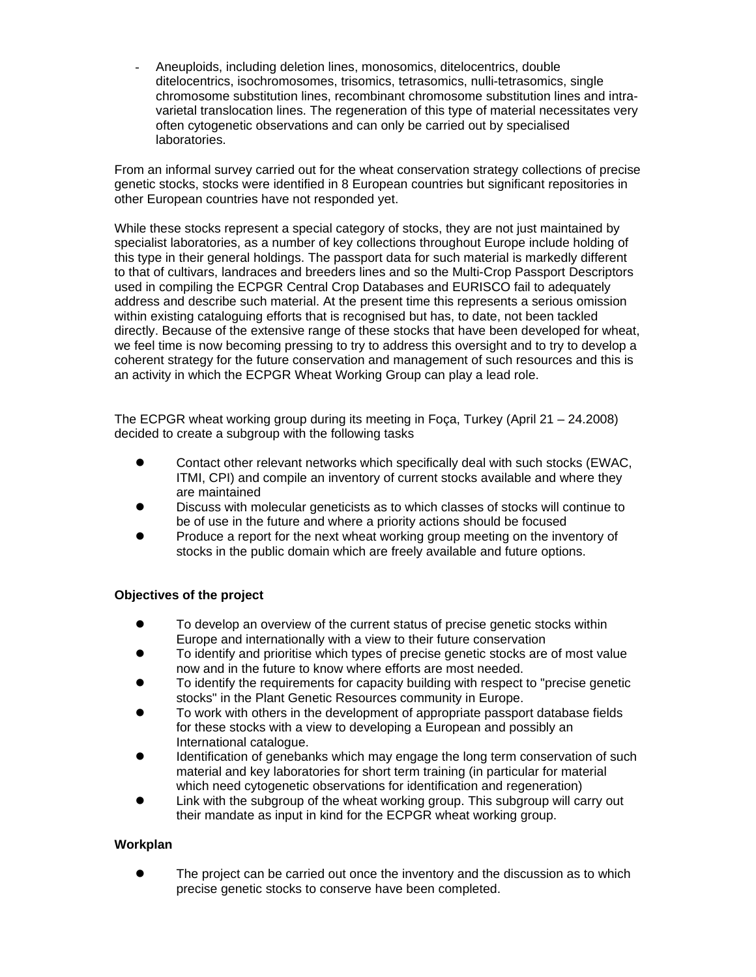Aneuploids, including deletion lines, monosomics, ditelocentrics, double ditelocentrics, isochromosomes, trisomics, tetrasomics, nulli-tetrasomics, single chromosome substitution lines, recombinant chromosome substitution lines and intravarietal translocation lines. The regeneration of this type of material necessitates very often cytogenetic observations and can only be carried out by specialised laboratories.

From an informal survey carried out for the wheat conservation strategy collections of precise genetic stocks, stocks were identified in 8 European countries but significant repositories in other European countries have not responded yet.

While these stocks represent a special category of stocks, they are not just maintained by specialist laboratories, as a number of key collections throughout Europe include holding of this type in their general holdings. The passport data for such material is markedly different to that of cultivars, landraces and breeders lines and so the Multi-Crop Passport Descriptors used in compiling the ECPGR Central Crop Databases and EURISCO fail to adequately address and describe such material. At the present time this represents a serious omission within existing cataloguing efforts that is recognised but has, to date, not been tackled directly. Because of the extensive range of these stocks that have been developed for wheat, we feel time is now becoming pressing to try to address this oversight and to try to develop a coherent strategy for the future conservation and management of such resources and this is an activity in which the ECPGR Wheat Working Group can play a lead role.

The ECPGR wheat working group during its meeting in Foça, Turkey (April 21 – 24.2008) decided to create a subgroup with the following tasks

- $\bullet$  Contact other relevant networks which specifically deal with such stocks (EWAC, ITMI, CPI) and compile an inventory of current stocks available and where they are maintained
- Discuss with molecular geneticists as to which classes of stocks will continue to be of use in the future and where a priority actions should be focused
- Produce a report for the next wheat working group meeting on the inventory of stocks in the public domain which are freely available and future options.

## **Objectives of the project**

- To develop an overview of the current status of precise genetic stocks within Europe and internationally with a view to their future conservation
- To identify and prioritise which types of precise genetic stocks are of most value now and in the future to know where efforts are most needed.
- To identify the requirements for capacity building with respect to "precise genetic stocks" in the Plant Genetic Resources community in Europe.
- To work with others in the development of appropriate passport database fields for these stocks with a view to developing a European and possibly an International catalogue.
- Identification of genebanks which may engage the long term conservation of such material and key laboratories for short term training (in particular for material which need cytogenetic observations for identification and regeneration)
- Link with the subgroup of the wheat working group. This subgroup will carry out their mandate as input in kind for the ECPGR wheat working group.

## **Workplan**

The project can be carried out once the inventory and the discussion as to which precise genetic stocks to conserve have been completed.